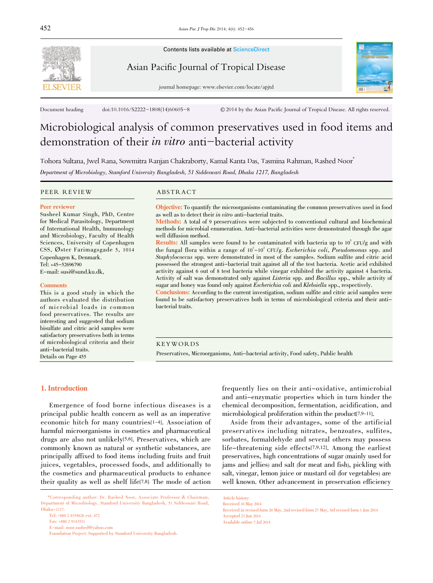

Contents lists available at ScienceDirect

# Asian Pacific Journal of Tropical Disease



journal homepage: www.elsevier.com/locate/apjtd

Document heading doi:10.1016/S2222-1808(14)60605-8  $\bigcirc$  2014 by the Asian Pacific Journal of Tropical Disease. All rights reserved.

# Microbiological analysis of common preservatives used in food items and demonstration of their in vitro anti-bacterial activity

Tohora Sultana, Jwel Rana, Sowmitra Ranjan Chakraborty, Kamal Kanta Das, Tasmina Rahman, Rashed Noor\*

Department of Microbiology, Stamford University Bangladesh, 51 Siddeswari Road, Dhaka 1217, Bangladesh

#### PEER REVIEW ABSTRACT

#### Peer reviewer

Susheel Kumar Singh, PhD, Centre for Medical Parasitology, Department of International Health, Immunology and Microbiology, Faculty of Health Sciences, University of Copenhagen CSS, Øster Farimagsgade 5, <sup>1014</sup> Copenhagen K, Denmark. Tel: +45-52696790 E-mail: susi@sund.ku.dk,

#### **Comments**

This is a good study in which the authors evaluated the distribution of microbial loads in common food preservatives. The results are interesting and suggested that sodium bisulfate and citric acid samples were satisfactory preservatives both in terms of microbiological criteria and their anti-bacterial traits. Details on Page 455

Objective: To quantify the microorganisms contaminating the common preservatives used in food as well as to detect their in vitro anti-bacterial traits.

Methods: A total of <sup>9</sup> preservatives were subjected to conventional cultural and biochemical methods for microbial enumeration. Anti-bacterial activities were demonstrated through the agar well diffusion method.

Results: All samples were found to be contaminated with bacteria up to 10<sup>5</sup> CFU/g and with the fungal flora within a range of  $10^{1}-10^{2}$  CFU/g. *Escherichia coli, Pseudomonas* spp. and Staphylococcus spp. were demonstrated in most of the samples. Sodium sulfite and citric acid possessed the strongest anti-bacterial trait against all of the test bacteria. Acetic acid exhibited activity against 6 out of 8 test bacteria while vinegar exhibited the activity against 4 bacteria. Activity of salt was demonstrated only against Listeria spp. and Bacillus spp., while activity of sugar and honey was found only against Escherichia coli and Klebsiella spp., respectively.

Conclusions: According to the current investigation, sodium sulfite and citric acid samples were found to be satisfactory preservatives both in terms of microbiological criteria and their antibacterial traits.

#### KEYWORDS

Preservatives, Microorganisms, Anti-bacterial activity, Food safety, Public health

### 1. Introduction

Emergence of food borne infectious diseases is a principal public health concern as well as an imperative economic hitch for many countries[1-4]. Association of harmful microorganisms in cosmetics and pharmaceutical drugs are also not unlikely[5,6]. Preservatives, which are commonly known as natural or synthetic substances, are principally affixed to food items including fruits and fruit juices, vegetables, processed foods, and additionally to the cosmetics and pharmaceutical products to enhance their quality as well as shelf life[7,8]. The mode of action

\*Corresponding author: Dr. Rashed Noor, Associate Professor & Chairman, Department of Microbiology, Stamford University Bangladesh, 51 Siddeswari Road, Dhaka-1217.

frequently lies on their anti-oxidative, antimicrobial and anti-enzymatic properties which in turn hinder the chemical decomposition, fermentation, acidification, and microbiological proliferation within the product[7,9-11].

Aside from their advantages, some of the artificial preservatives including nitrates, benzoates, sulfites, sorbates, formaldehyde and several others may possess life-threatening side effects[7,9,12]. Among the earliest preservatives, high concentrations of sugar (mainly used for jams and jellies) and salt (for meat and fish), pickling with salt, vinegar, lemon juice or mustard oil (for vegetables) are well known. Other advancement in preservation efficiency

Tel: +880 2 8355626 ext. 472

Fax: +880 2 9143531

E-mail: noor.rashed@yahoo.com

Foundation Project: Supported by Stamford University Bangladesh.

Article history: Received 10 May 2014

Received in revised form 20 May, 2nd revised form 27 May, 3rd revised form 1 Jun 2014 Accepted 23 Jun 2014 Available online 7 Jul 2014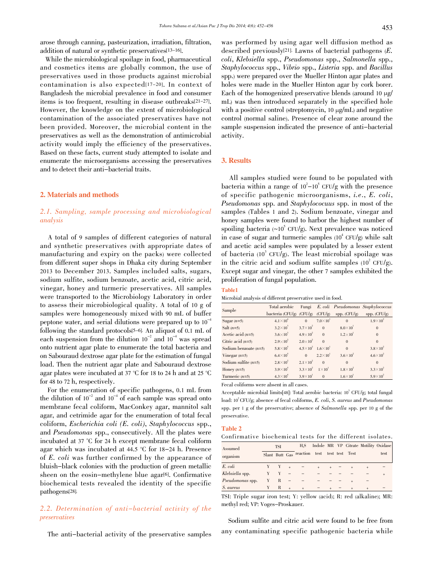arose through canning, pasteurization, irradiation, filtration, addition of natural or synthetic preservatives[13-16].

While the microbiological spoilage in food, pharmaceutical and cosmetics items are globally common, the use of preservatives used in those products against microbial contamination is also expected[17-20]. In context of Bangladesh the microbial prevalence in food and consumer items is too frequent, resulting in disease outbreaks[21-27]. However, the knowledge on the extent of microbiological contamination of the associated preservatives have not been provided. Moreover, the microbial content in the preservatives as well as the demonstration of antimicrobial activity would imply the efficiency of the preservatives. Based on these facts, current study attempted to isolate and enumerate the microorganisms accessing the preservatives and to detect their anti-bacterial traits.

#### 2. Materials and methods

# 2.1. Sampling, sample processing and microbiological analysis

A total of 9 samples of different categories of natural and synthetic preservatives (with appropriate dates of manufacturing and expiry on the packs) were collected from different super shops in Dhaka city during September 2013 to December 2013. Samples included salts, sugars, sodium sulfite, sodium benzoate, acetic acid, citric acid, vinegar, honey and turmeric preservatives. All samples were transported to the Microbiology Laboratory in order to assess their microbiological quality. A total of 10 g of samples were homogeneously mixed with 90 mL of buffer peptone water, and serial dilutions were prepared up to  $10^{-4}$ following the standard protocols[5-6]. An aliquot of 0.1 mL of each suspension from the dilution  $10^{-2}$  and  $10^{-4}$  was spread onto nutrient agar plate to enumerate the total bacteria and on Sabouraud dextrose agar plate for the estimation of fungal load. Then the nutrient agar plate and Sabouraud dextrose agar plates were incubated at 37 °C for 18 to 24 h and at 25 °C for 48 to 72 h, respectively.

For the enumeration of specific pathogens, 0.1 mL from the dilution of  $10^{-2}$  and  $10^{-4}$  of each sample was spread onto membrane fecal coliform, MacConkey agar, mannitol salt agar, and cetrimide agar for the enumeration of total fecal coliform, Escherichia coli (E. coli), Staphylococcus spp., and Pseudomonas spp., consecutively. All the plates were incubated at 37 °C for 24 h except membrane fecal coliform agar which was incubated at 44.5 °C for 18-24 h. Presence of E. coli was further confirmed by the appearance of bluish-black colonies with the production of green metallic sheen on the eosin-methylene blue agar<sup>[6]</sup>. Confirmative biochemical tests revealed the identity of the specific pathogens[28].

# 2.2. Determination of anti-bacterial activity of the preservatives

The anti-bacterial activity of the preservative samples

was performed by using agar well diffusion method as described previously<sup>[21]</sup>. Lawns of bacterial pathogens  $(E$ . coli, Klebsiella spp., Pseudomonas spp., Salmonella spp., Staphylococcus spp., Vibrio spp., Listeria spp. and Bacillus spp.) were prepared over the Mueller Hinton agar plates and holes were made in the Mueller Hinton agar by cork borer. Each of the homogenized preservative blends (around 10 μg/ mL) was then introduced separately in the specified hole with a positive control (streptomycin, 10 μg/mL) and negative control (normal saline). Presence of clear zone around the sample suspension indicated the presence of anti-bacterial activity.

# 3. Results

All samples studied were found to be populated with bacteria within a range of  $10^2 - 10^3$  CFU/g with the presence of specific pathogenic microorganisms, i.e., E. coli, Pseudomonas spp. and Staphylococuus spp. in most of the samples (Tables 1 and 2). Sodium benzoate, vinegar and honey samples were found to harbor the highest number of spoiling bacteria (~10<sup>°</sup> CFU/g). Next prevalence was noticed in case of sugar and turmeric samples  $(10^4 \text{ CFU/g})$  while salt and acetic acid samples were populated by a lesser extent of bacteria (10 3 CFU/g). The least microbial spoilage was in the citric acid and sodium sulfite samples  $(10^2 \text{ CFU/g}).$ Except sugar and vinegar, the other 7 samples exhibited the proliferation of fungal population.

#### Table1

|  |  |  |  |  |  | Microbial analysis of different preservative used in food. |  |  |  |  |
|--|--|--|--|--|--|------------------------------------------------------------|--|--|--|--|
|--|--|--|--|--|--|------------------------------------------------------------|--|--|--|--|

|                         | Total aerobic       | Fungi               |                     |                     | E. coli Pseudomonas Staphylococcus |  |
|-------------------------|---------------------|---------------------|---------------------|---------------------|------------------------------------|--|
| Sample                  | bacteria (CFU/g)    | (CFU/g)             | (CFU/g)             | spp. $(CFU/g)$      | spp. $(CFU/g)$                     |  |
| Sugar $(n=5)$           | $4.1\times10^{4}$   | $\Omega$            | $7.0\times10^{1}$   | $\Omega$            | $1.9 \times 10^{2}$                |  |
| Salt $(n=5)$            | $3.2\times10^3$     | $3.7\times10^{2}$   | $\Omega$            | $8.0\times10^{1}$   | $\mathbf{0}$                       |  |
| Acetic acid $(n=5)$     | $3.6 \times 10^{3}$ | $4.9\times10^{2}$   | $\Omega$            | $1.2 \times 10^{1}$ | $\mathbf{0}$                       |  |
| Citric acid $(n=5)$     | $2.9\times10^2$     | $2.0 \times 10^{2}$ | $\Omega$            | $\Omega$            | $\Omega$                           |  |
| Sodium benzoate $(n=5)$ | $5.8\times10^5$     | $4.5\times10^{2}$   | $1.6 \times 10^{1}$ | $\Omega$            | $3.8\times10^2$                    |  |
| Vinegar $(n=5)$         | $6.4\times10^{5}$   | $\Omega$            | $2.2 \times 10^{1}$ | $3.6 \times 10^{2}$ | $4.6 \times 10^{2}$                |  |
| Sodium sulfite $(n=5)$  | $2.8\times10^2$     | $2.1 \times 10^2$   | $\Omega$            | $\Omega$            | $\Omega$                           |  |
| Honey $(n=5)$           | $3.9\times10^5$     | $3.3\times10^{2}$   | $1\times10^{1}$     | $1.8\times10^2$     | $3.3\times10^2$                    |  |
| Turmeric $(n=5)$        | $4.3 \times 10^{4}$ | $3.9\times10^{1}$   | $\theta$            | $1.6\times10^{1}$   | $5.9 \times 10^{2}$                |  |
|                         |                     |                     |                     |                     |                                    |  |

Fecal coliforms were absent in all cases.

Acceptable microbial limits[48]: Total aerobic bacteria: 10 3 CFU/g; total fungal load: 10 2 CFU/g; absence of fecal coliforms, E. coli, S. aureus and Pseudomonas spp. per <sup>1</sup> g of the preservative; absence of Salmonella spp. per <sup>10</sup> g of the preservative.

# Table 2

| Confirmative biochemical tests for the different isolates. |  |
|------------------------------------------------------------|--|
|------------------------------------------------------------|--|

| Assumed          | <b>TSI</b> |   |       | H.S                                         |           |     |  |     | Indole MR VP Citrate Motility Oxidase |
|------------------|------------|---|-------|---------------------------------------------|-----------|-----|--|-----|---------------------------------------|
| organism         |            |   |       | Slant Butt Gas reaction test test test Test |           |     |  |     | test                                  |
| E. coli          |            |   | $+$   |                                             | $\ddot{}$ |     |  | $+$ |                                       |
| Klebsiella spp.  |            |   |       |                                             |           |     |  |     | $+$                                   |
| Pseudomonas spp. | Y          | R |       |                                             |           |     |  |     |                                       |
| S. aureus        |            | R | $\pm$ | $+$                                         |           | $+$ |  |     |                                       |

TSI: Triple sugar iron test; Y: yellow (acid); R: red (alkaline); MR: methyl red; VP: Voges-Proskauer.

Sodium sulfite and citric acid were found to be free from any contaminating specific pathogenic bacteria while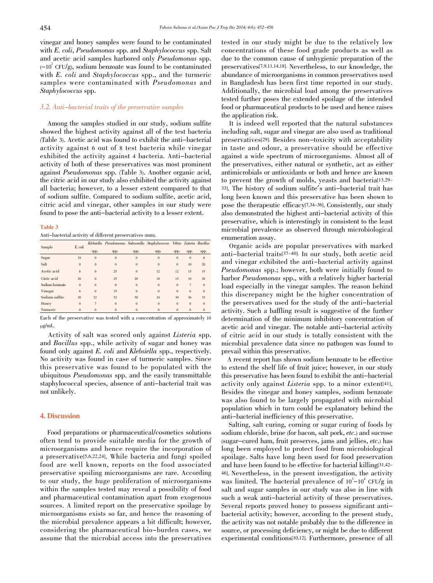vinegar and honey samples were found to be contaminated with *E. coli, Pseudomonas* spp. and *Staphylococcus* spp. Salt and acetic acid samples harbored only Pseudomonas spp. (~10 2 CFU/g), sodium benzoate was found to be contaminated with E. coli and Staphylococcus spp., and the turmeric samples were contaminated with *Pseudomonas* and Staphylococcus spp.

# 3.2. Anti-bacterial traits of the preservative samples

Among the samples studied in our study, sodium sulfite showed the highest activity against all of the test bacteria (Table 3). Acetic acid was found to exhibit the anti-bacterial activity against 6 out of 8 test bacteria while vinegar exhibited the activity against 4 bacteria. Anti-bacterial activity of both of these preservatives was most prominent against Pseudomonas spp. (Table 3). Another organic acid, the citric acid in our study also exhibited the activity against all bacteria; however, to a lesser extent compared to that of sodium sulfite. Compared to sodium sulfite, acetic acid, citric acid and vinegar, other samples in our study were found to pose the anti-bacterial activity to a lesser extent.

#### Table 3

Anti-bacterial activity of different preservatives (mm).

|                 |              | Klebsiella Pseudomonas Salmonella Staphylococcus |          |              |                |              |              | Vibrio Listeria Bacillus |
|-----------------|--------------|--------------------------------------------------|----------|--------------|----------------|--------------|--------------|--------------------------|
| Sample          | E. coli      | spp.                                             | spp.     | spp.         | spp.           | spp.         | spp.         | spp.                     |
| Sugar           | 18           | $\mathbf{0}$                                     | $\Omega$ | $\mathbf{0}$ | $\mathbf{0}$   | $\mathbf{0}$ | $\mathbf{0}$ | $\overline{0}$           |
| Salt            | $\mathbf{0}$ | $\mathbf{0}$                                     | $\Omega$ | $\mathbf{0}$ | $\overline{0}$ | $\mathbf{0}$ | 10           | 20                       |
| Acetic acid     | $\mathbf{8}$ | $\mathbf{0}$                                     | 25       | $\mathbf{0}$ | 12             | 12           | 15           | 15                       |
| Citric acid     | 20           | $\mathbf{0}$                                     | 25       | 20           | 10             | 15           | 10           | 20                       |
| Sodium benzoate | $\Omega$     | $\mathbf{0}$                                     | $\Omega$ | $\Omega$     | $\mathbf{0}$   | $\mathbf{0}$ | 7            | $\mathbf{0}$             |
| Vinegar         | 6            | $\mathbf{0}$                                     | 15       | $\mathbf{0}$ | $\mathbf{0}$   | $\mathbf{0}$ | 6            | 8                        |
| Sodium sulfite  | 30           | 32                                               | 32       | 30           | 34             | 30           | 36           | 33                       |
| Honey           | $\Omega$     | $\overline{7}$                                   | $\Omega$ | $\Omega$     | $\mathbf{0}$   | $\mathbf{0}$ | $\mathbf{0}$ | $\Omega$                 |
| Turmeric        | $\Omega$     | $\mathbf{0}$                                     | $\Omega$ | $\Omega$     | $\Omega$       | $\Omega$     | $\mathbf{0}$ | $\mathbf{0}$             |

Each of the preservative was tested with a concentration of approximately 10 μg/mL.

Activity of salt was scored only against Listeria spp. and Bacillus spp., while activity of sugar and honey was found only against E. coli and Klebsiella spp., respectively. No activity was found in case of turmeric samples. Since this preservative was found to be populated with the ubiquitous Pseudomonas spp. and the easily transmittable staphylococcal species, absence of anti-bacterial trait was not unlikely.

# 4. Discussion

Food preparations or pharmaceutical/cosmetics solutions often tend to provide suitable media for the growth of microorganisms and hence require the incorporation of a preservative[5,6,22,24]. While bacteria and fungi spoiled food are well known, reports on the food associated preservative spoiling microorganisms are rare. According to our study, the huge proliferation of microorganisms within the samples tested may reveal a possibility of food and pharmaceutical contamination apart from exogenous sources. A limited report on the preservative spoilage by microorganisms exists so far, and hence the reasoning of the microbial prevalence appears a bit difficult; however, considering the pharmaceutical bio-burden cases, we assume that the microbial access into the preservatives

tested in our study might be due to the relatively low concentrations of these food grade products as well as due to the common cause of unhygienic preparation of the preservatives[7,9,11,14,18]. Nevertheless, to our knowledge, the abundance of microorganisms in common preservatives used in Bangladesh has been first time reported in our study. Additionally, the microbial load among the preservatives tested further poses the extended spoilage of the intended food or pharmaceutical products to be used and hence raises the application risk.

It is indeed well reported that the natural substances including salt, sugar and vinegar are also used as traditional preservatives[29]. Besides non-toxicity with acceptability in taste and odour, a preservative should be effective against a wide spectrum of microorganisms. Almost all of the preservatives, either natural or synthetic, act as either antimicrobials or antioxidants or both and hence are known to prevent the growth of molds, yeasts and bacteria[13,29- 33]. The history of sodium sulfite's anti-bacterial trait has long been known and this preservative has been shown to pose the therapeutic efficacy[7,34-36]. Consistently, our study also demonstrated the highest anti-bacterial activity of this preservative, which is interestingly in consistent to the least microbial prevalence as observed through microbiological enumeration assay.

Organic acids are popular preservatives with marked anti-bacterial traits[37-40]. In our study, both acetic acid and vinegar exhibited the anti-bacterial activity against Pseudomonas spp.; however, both were initially found to harbor Pseudomonas spp., with a relatively higher bacterial load especially in the vinegar samples. The reason behind this discrepancy might be the higher concentration of the preservatives used for the study of the anti-bacterial activity. Such a baffling result is suggestive of the further determination of the minimum inhibitory concentration of acetic acid and vinegar. The notable anti-bacterial activity of citric acid in our study is totally consistent with the microbial prevalence data since no pathogen was found to prevail within this preservative.

A recent report has shown sodium benzoate to be effective to extend the shelf life of fruit juice; however, in our study this preservative has been found to exhibit the anti-bacterial activity only against Listeria spp. to a minor extent[41]. Besides the vinegar and honey samples, sodium benzoate was also found to be largely propagated with microbial population which in turn could be explanatory behind the anti-bacterial inefficiency of this preservative.

Salting, salt curing, corning or sugar curing of foods by sodium chloride, brine (for bacon, salt pork, etc.) and sucrose (sugar-cured ham, fruit preserves, jams and jellies, etc.) has long been employed to protect food from microbiological spoilage. Salts have long been used for food preservation and have been found to be effective for bacterial killing[31,42- 46]. Nevertheless, in the present investigation, the activity was limited. The bacterial prevalence of  $10^3 - 10^4$  CFU/g in salt and sugar samples in our study was also in line with such a weak anti-bacterial activity of these preservatives. Several reports proved honey to possess significant antibacterial activity; however, according to the present study, the activity was not notable probably due to the difference in source, or processing deficiency, or might be due to different experimental conditions[10,12]. Furthermore, presence of all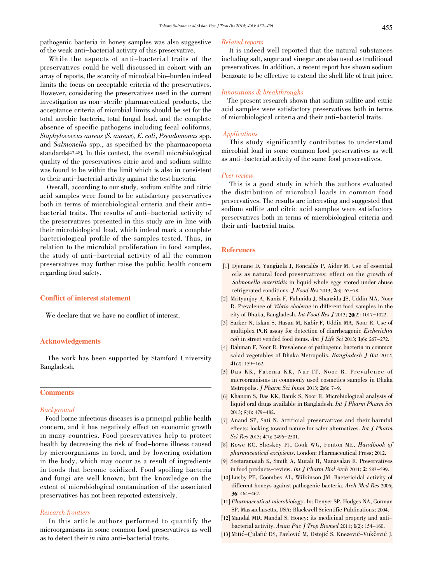pathogenic bacteria in honey samples was also suggestive of the weak anti-bacterial activity of this preservative.

While the aspects of anti-bacterial traits of the preservatives could be well discussed in cohort with an array of reports, the scarcity of microbial bio-burden indeed limits the focus on acceptable criteria of the preservatives. However, considering the preservatives used in the current investigation as non-sterile pharmaceutical products, the acceptance criteria of microbial limits should be set for the total aerobic bacteria, total fungal load, and the complete absence of specific pathogens including fecal coliforms, Staphylococcus aureus (S. aureus), E. coli, Pseudomonas spp. and Salmonella spp., as specified by the pharmacopoeia standards<sup>[47,48]</sup>. In this context, the overall microbiological quality of the preservatives citric acid and sodium sulfite was found to be within the limit which is also in consistent to their anti-bacterial activity against the test bacteria.

Overall, according to our study, sodium sulfite and citric acid samples were found to be satisfactory preservatives both in terms of microbiological criteria and their antibacterial traits. The results of anti-bacterial activity of the preservatives presented in this study are in line with their microbiological load, which indeed mark a complete bacteriological profile of the samples tested. Thus, in relation to the microbial proliferation in food samples, the study of anti-bacterial activity of all the common preservatives may further raise the public health concern regarding food safety.

#### Conflict of interest statement

We declare that we have no conflict of interest.

#### Acknowledgements

The work has been supported by Stamford University Bangladesh.

#### **Comments**

#### **Background**

Food borne infectious diseases is a principal public health concern, and it has negatively effect on economic growth in many countries. Food preservatives help to protect health by decreasing the risk of food-borne illness caused by microorganisms in food, and by lowering oxidation in the body, which may occur as a result of ingredients in foods that become oxidized. Food spoiling bacteria and fungi are well known, but the knowledge on the extent of microbiological contamination of the associated preservatives has not been reported extensively.

# Research frontiers

In this article authors performed to quantify the microorganisms in some common food preservatives as well as to detect their in vitro anti-bacterial traits.

#### Related reports

It is indeed well reported that the natural substances including salt, sugar and vinegar are also used as traditional preservatives. In addition, a recent report has shown sodium benzoate to be effective to extend the shelf life of fruit juice.

# Innovations & breakthroughs

The present research shown that sodium sulfite and citric acid samples were satisfactory preservatives both in terms of microbiological criteria and their anti-bacterial traits.

# Applications

This study significantly contributes to understand microbial load in some common food preservatives as well as anti-bacterial activity of the same food preservatives.

#### Peer review

This is a good study in which the authors evaluated the distribution of microbial loads in common food preservatives. The results are interesting and suggested that sodium sulfite and citric acid samples were satisfactory preservatives both in terms of microbiological criteria and their anti-bacterial traits.

#### **References**

- [1] Djenane D, Yangüela J, Roncalés P, Aider M. Use of essential oils as natural food preservatives: effect on the growth of Salmonella enteritidis in liquid whole eggs stored under abuse refrigerated conditions. J Food Res 2013; 2(3): 65-78.
- [2] Mrityunjoy A, Kaniz F, Fahmida J, Shanzida JS, Uddin MA, Noor R. Prevalence of Vibrio cholerae in different food samples in the city of Dhaka, Bangladesh. Int Food Res J 2013; 20(2): 1017-1022.
- [3] Sarker N, Islam S, Hasan M, Kabir F, Uddin MA, Noor R. Use of multiplex PCR assay for detection of diarrheagenic Escherichia coli in street vended food items. Am J Life Sci 2013; 1(6): 267-272.
- [4] Rahman F, Noor R. Prevalence of pathogenic bacteria in common salad vegetables of Dhaka Metropolis. Bangladesh J Bot 2012; 41(2): 159-162.
- [5] Das KK, Fatema KK, Nur IT, Noor R. Prevalence of microorganisms in commonly used cosmetics samples in Dhaka Metropolis. *J Pharm Sci Innov* 2013; **2**(6): 7–9.
- [6] Khanom S, Das KK, Banik S, Noor R. Microbiological analysis of liquid oral drugs available in Bangladesh. Int J Pharm Pharm Sci 2013; 5(4): 479-482.
- [7] Anand SP, Sati N. Artificial preservatives and their harmful effects: looking toward nature for safer alternatives. Int J Pharm Sci Res 2013; 4(7): 2496-2501.
- [8] Rowe RC, Sheskey PJ, Cook WG, Fenton ME. Handbook of pharmaceutical excipients. London: Pharmaceutical Press; 2012.
- [9] Seetaramaiah K, Smith A, Murali R, Manavalan R. Preservatives in food products-review. Int J Pharm Biol Arch 2011; 2: 583-599.
- [10] Lusby PE, Coombes AL, Wilkinson JM. Bactericidal activity of different honeys against pathogenic bacteria. Arch Med Res 2005; 36: 464-467.
- [11] Pharmaceutical microbiology. In: Denyer SP, Hodges NA, Gorman SP. Massachusetts, USA: Blackwell Scientific Publications; 2004.
- [12] Mandal MD, Mandal S. Honey: its medicinal property and antibacterial activity. Asian Pac J Trop Biomed 2011; 1(2): 154-160.
- [13] Mitić-Ćulafić DS, Pavlović M, Ostojić S, Knezević-Vukčević J.